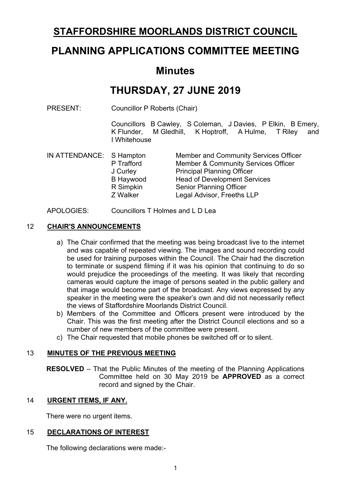# **STAFFORDSHIRE MOORLANDS DISTRICT COUNCIL**

# **PLANNING APPLICATIONS COMMITTEE MEETING**

# **Minutes**

# **THURSDAY, 27 JUNE 2019**

PRESENT: Councillor P Roberts (Chair)

Councillors B Cawley, S Coleman, J Davies, P Elkin, B Emery, K Flunder, M Gledhill, K Hoptroff, A Hulme, T Riley and I Whitehouse

| Member & Community Services Officer |
|-------------------------------------|
|                                     |
|                                     |
|                                     |
|                                     |
|                                     |

#### APOLOGIES: Councillors T Holmes and L D Lea

#### 12 **CHAIR'S ANNOUNCEMENTS**

- a) The Chair confirmed that the meeting was being broadcast live to the internet and was capable of repeated viewing. The images and sound recording could be used for training purposes within the Council. The Chair had the discretion to terminate or suspend filming if it was his opinion that continuing to do so would prejudice the proceedings of the meeting. It was likely that recording cameras would capture the image of persons seated in the public gallery and that image would become part of the broadcast. Any views expressed by any speaker in the meeting were the speaker's own and did not necessarily reflect the views of Staffordshire Moorlands District Council.
- b) Members of the Committee and Officers present were introduced by the Chair. This was the first meeting after the District Council elections and so a number of new members of the committee were present.
- c) The Chair requested that mobile phones be switched off or to silent.

#### 13 **MINUTES OF THE PREVIOUS MEETING**

**RESOLVED** – That the Public Minutes of the meeting of the Planning Applications Committee held on 30 May 2019 be **APPROVED** as a correct record and signed by the Chair.

#### 14 **URGENT ITEMS, IF ANY.**

There were no urgent items.

#### 15 **DECLARATIONS OF INTEREST**

The following declarations were made:-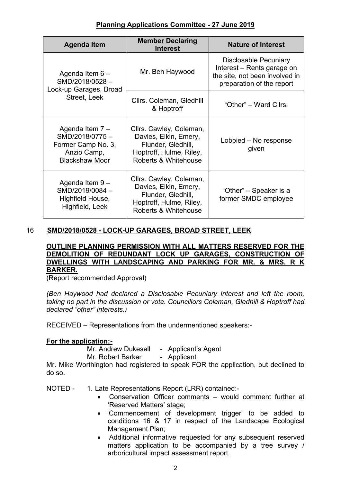| <b>Agenda Item</b>                                                                              | <b>Member Declaring</b><br><b>Interest</b>                                                                                | <b>Nature of Interest</b>                                                                                                 |
|-------------------------------------------------------------------------------------------------|---------------------------------------------------------------------------------------------------------------------------|---------------------------------------------------------------------------------------------------------------------------|
| Agenda Item $6 -$<br>SMD/2018/0528-<br>Lock-up Garages, Broad<br>Street, Leek                   | Mr. Ben Haywood                                                                                                           | <b>Disclosable Pecuniary</b><br>Interest – Rents garage on<br>the site, not been involved in<br>preparation of the report |
|                                                                                                 | Cllrs. Coleman, Gledhill<br>& Hoptroff                                                                                    | "Other" – Ward Cllrs.                                                                                                     |
| Agenda Item 7 -<br>SMD/2018/0775-<br>Former Camp No. 3,<br>Anzio Camp,<br><b>Blackshaw Moor</b> | Cllrs. Cawley, Coleman,<br>Davies, Elkin, Emery,<br>Flunder, Gledhill,<br>Hoptroff, Hulme, Riley,<br>Roberts & Whitehouse | Lobbied – No response<br>given                                                                                            |
| Agenda Item 9-<br>SMD/2019/0084-<br>Highfield House,<br>Highfield, Leek                         | Cllrs. Cawley, Coleman,<br>Davies, Elkin, Emery,<br>Flunder, Gledhill,<br>Hoptroff, Hulme, Riley,<br>Roberts & Whitehouse | "Other" – Speaker is a<br>former SMDC employee                                                                            |

# 16 **SMD/2018/0528 - LOCK-UP GARAGES, BROAD STREET, LEEK**

#### **OUTLINE PLANNING PERMISSION WITH ALL MATTERS RESERVED FOR THE DEMOLITION OF REDUNDANT LOCK UP GARAGES, CONSTRUCTION OF DWELLINGS WITH LANDSCAPING AND PARKING FOR MR. & MRS. R K BARKER.**

(Report recommended Approval)

*(Ben Haywood had declared a Disclosable Pecuniary Interest and left the room, taking no part in the discussion or vote. Councillors Coleman, Gledhill & Hoptroff had declared "other" interests.)*

RECEIVED – Representations from the undermentioned speakers:-

# **For the application:-**

Mr. Andrew Dukesell - Applicant's Agent

Mr. Robert Barker - Applicant

Mr. Mike Worthington had registered to speak FOR the application, but declined to do so.

NOTED - 1. Late Representations Report (LRR) contained:-

- Conservation Officer comments would comment further at 'Reserved Matters' stage;
- 'Commencement of development trigger' to be added to conditions 16 & 17 in respect of the Landscape Ecological Management Plan;
- Additional informative requested for any subsequent reserved matters application to be accompanied by a tree survey / arboricultural impact assessment report.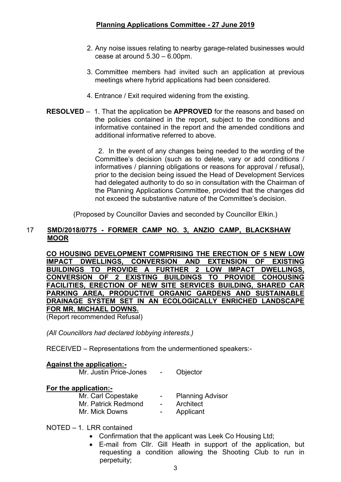- 2. Any noise issues relating to nearby garage-related businesses would cease at around 5.30 – 6.00pm.
- 3. Committee members had invited such an application at previous meetings where hybrid applications had been considered.
- 4. Entrance / Exit required widening from the existing.
- **RESOLVED** 1. That the application be **APPROVED** for the reasons and based on the policies contained in the report, subject to the conditions and informative contained in the report and the amended conditions and additional informative referred to above.

 2. In the event of any changes being needed to the wording of the Committee's decision (such as to delete, vary or add conditions / informatives / planning obligations or reasons for approval / refusal), prior to the decision being issued the Head of Development Services had delegated authority to do so in consultation with the Chairman of the Planning Applications Committee, provided that the changes did not exceed the substantive nature of the Committee's decision.

(Proposed by Councillor Davies and seconded by Councillor Elkin.)

#### 17 **SMD/2018/0775 - FORMER CAMP NO. 3, ANZIO CAMP, BLACKSHAW MOOR**

**CO HOUSING DEVELOPMENT COMPRISING THE ERECTION OF 5 NEW LOW IMPACT DWELLINGS, CONVERSION AND EXTENSION OF EXISTING BUILDINGS TO PROVIDE A FURTHER 2 LOW IMPACT DWELLINGS, CONVERSION OF 2 EXISTING BUILDINGS TO PROVIDE COHOUSING FACILITIES, ERECTION OF NEW SITE SERVICES BUILDING, SHARED CAR PARKING AREA, PRODUCTIVE ORGANIC GARDENS AND SUSTAINABLE DRAINAGE SYSTEM SET IN AN ECOLOGICALLY ENRICHED LANDSCAPE FOR MR. MICHAEL DOWNS.**

(Report recommended Refusal)

*(All Councillors had declared lobbying interests.)*

RECEIVED – Representations from the undermentioned speakers:-

# **Against the application:-**

| Mr. Justin Price-Jones | Objector                |
|------------------------|-------------------------|
| For the application:-  |                         |
| Mr. Carl Copestake     | <b>Planning Advisor</b> |
| Mr. Patrick Redmond    | Architect               |
| Mr. Mick Downs         | Applicant               |

#### NOTED – 1. LRR contained

- Confirmation that the applicant was Leek Co Housing Ltd;
- E-mail from Cllr. Gill Heath in support of the application, but requesting a condition allowing the Shooting Club to run in perpetuity;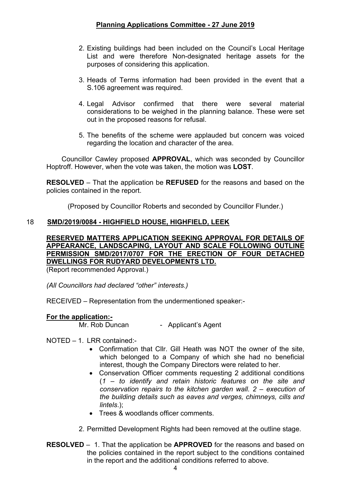- 2. Existing buildings had been included on the Council's Local Heritage List and were therefore Non-designated heritage assets for the purposes of considering this application.
- 3. Heads of Terms information had been provided in the event that a S.106 agreement was required.
- 4. Legal Advisor confirmed that there were several material considerations to be weighed in the planning balance. These were set out in the proposed reasons for refusal.
- 5. The benefits of the scheme were applauded but concern was voiced regarding the location and character of the area.

 Councillor Cawley proposed **APPROVAL**, which was seconded by Councillor Hoptroff. However, when the vote was taken, the motion was **LOST**.

**RESOLVED** – That the application be **REFUSED** for the reasons and based on the policies contained in the report.

(Proposed by Councillor Roberts and seconded by Councillor Flunder.)

# 18 **SMD/2019/0084 - HIGHFIELD HOUSE, HIGHFIELD, LEEK**

# **RESERVED MATTERS APPLICATION SEEKING APPROVAL FOR DETAILS OF APPEARANCE, LANDSCAPING, LAYOUT AND SCALE FOLLOWING OUTLINE PERMISSION SMD/2017/0707 FOR THE ERECTION OF FOUR DETACHED DWELLINGS FOR RUDYARD DEVELOPMENTS LTD.**

(Report recommended Approval.)

*(All Councillors had declared "other" interests.)*

RECEIVED – Representation from the undermentioned speaker:-

# **For the application:-**

Mr. Rob Duncan - Applicant's Agent

#### NOTED – 1. LRR contained:-

- Confirmation that Cllr. Gill Heath was NOT the owner of the site, which belonged to a Company of which she had no beneficial interest, though the Company Directors were related to her.
- Conservation Officer comments requesting 2 additional conditions (*1 – to identify and retain historic features on the site and conservation repairs to the kitchen garden wall. 2 – execution of the building details such as eaves and verges, chimneys, cills and lintels*.);
- Trees & woodlands officer comments.
- 2. Permitted Development Rights had been removed at the outline stage.
- **RESOLVED** 1. That the application be **APPROVED** for the reasons and based on the policies contained in the report subject to the conditions contained in the report and the additional conditions referred to above.